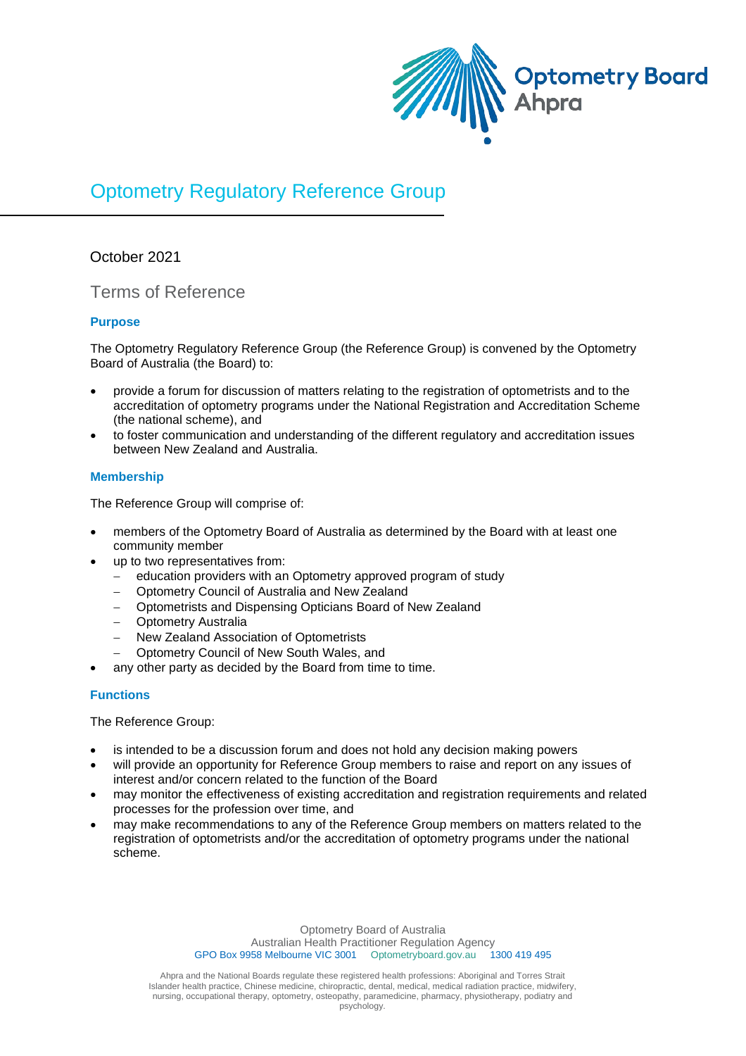

# Optometry Regulatory Reference Group

## October 2021

## Terms of Reference

## **Purpose**

The Optometry Regulatory Reference Group (the Reference Group) is convened by the Optometry Board of Australia (the Board) to:

- provide a forum for discussion of matters relating to the registration of optometrists and to the accreditation of optometry programs under the National Registration and Accreditation Scheme (the national scheme), and
- to foster communication and understanding of the different regulatory and accreditation issues between New Zealand and Australia.

## **Membership**

The Reference Group will comprise of:

- members of the Optometry Board of Australia as determined by the Board with at least one community member
- up to two representatives from:
	- − education providers with an Optometry approved program of study
	- − Optometry Council of Australia and New Zealand
	- − Optometrists and Dispensing Opticians Board of New Zealand
	- − Optometry Australia
	- − New Zealand Association of Optometrists
	- − Optometry Council of New South Wales, and
- any other party as decided by the Board from time to time.

## **Functions**

The Reference Group:

- is intended to be a discussion forum and does not hold any decision making powers
- will provide an opportunity for Reference Group members to raise and report on any issues of interest and/or concern related to the function of the Board
- may monitor the effectiveness of existing accreditation and registration requirements and related processes for the profession over time, and
- may make recommendations to any of the Reference Group members on matters related to the registration of optometrists and/or the accreditation of optometry programs under the national scheme.

Optometry Board of Australia Australian Health Practitioner Regulation Agency<br>1988 Melbourne VIC 3001 Optometryboard.gov.au 1300 419 495 GPO Box 9958 Melbourne VIC 3001 Optometryboard.gov.au